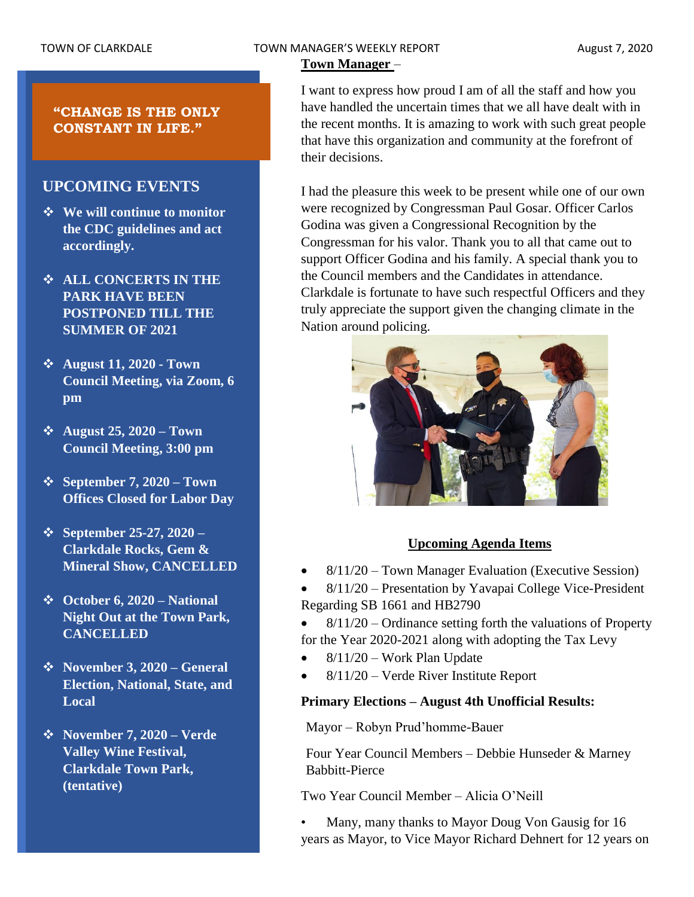# TOWN OF CLARKDALE TOWN MANAGER'S WEEKLY REPORT TOWN August 7, 2020

# **Town Manager** –

**"CHANGE IS THE ONLY CONSTANT IN LIFE."**

# **UPCOMING EVENTS**

- ❖ **We will continue to monitor the CDC guidelines and act accordingly.**
- ❖ **ALL CONCERTS IN THE PARK HAVE BEEN POSTPONED TILL THE SUMMER OF 2021**
- ❖ **August 11, 2020 - Town Council Meeting, via Zoom, 6 pm**
- ❖ **August 25, 2020 – Town Council Meeting, 3:00 pm**
- ❖ **September 7, 2020 – Town Offices Closed for Labor Day**
- ❖ **September 25-27, 2020 – Clarkdale Rocks, Gem & Mineral Show, CANCELLED**
- ❖ **October 6, 2020 – National Night Out at the Town Park, CANCELLED**
- ❖ **November 3, 2020 – General Election, National, State, and Local**
- ❖ **November 7, 2020 – Verde Valley Wine Festival, Clarkdale Town Park, (tentative)**

I want to express how proud I am of all the staff and how you have handled the uncertain times that we all have dealt with in the recent months. It is amazing to work with such great people that have this organization and community at the forefront of their decisions.

I had the pleasure this week to be present while one of our own were recognized by Congressman Paul Gosar. Officer Carlos Godina was given a Congressional Recognition by the Congressman for his valor. Thank you to all that came out to support Officer Godina and his family. A special thank you to the Council members and the Candidates in attendance. Clarkdale is fortunate to have such respectful Officers and they truly appreciate the support given the changing climate in the Nation around policing.



## **Upcoming Agenda Items**

• 8/11/20 – Town Manager Evaluation (Executive Session)

• 8/11/20 – Presentation by Yavapai College Vice-President Regarding SB 1661 and HB2790

- $8/11/20$  Ordinance setting forth the valuations of Property for the Year 2020-2021 along with adopting the Tax Levy
- 8/11/20 Work Plan Update
- 8/11/20 Verde River Institute Report

## **Primary Elections – August 4th Unofficial Results:**

Mayor – Robyn Prud'homme-Bauer

Four Year Council Members – Debbie Hunseder & Marney Babbitt-Pierce

Two Year Council Member – Alicia O'Neill

• Many, many thanks to Mayor Doug Von Gausig for 16 years as Mayor, to Vice Mayor Richard Dehnert for 12 years on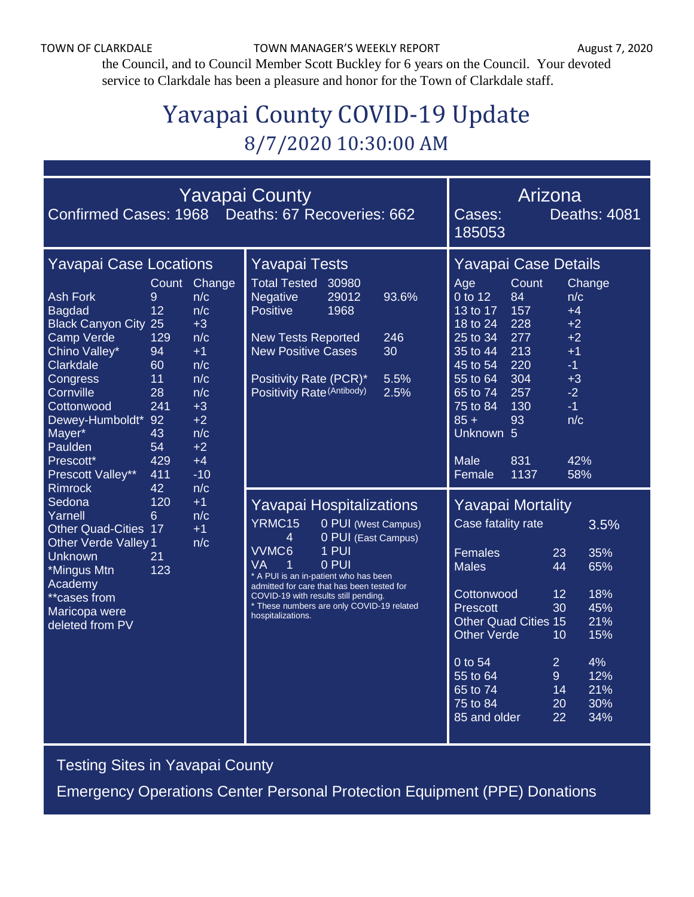the Council, and to Council Member Scott Buckley for 6 years on the Council. Your devoted service to Clarkdale has been a pleasure and honor for the Town of Clarkdale staff.

# Yavapai County COVID-19 Update 8/7/2020 10:30:00 AM

| Confirmed Cases: 1968 Deaths: 67 Recoveries: 662                                                                                                                                                                                                                                                                                                                                                                                                                                                                                                                                                                                                                                                                                        | <b>Yavapai County</b> | Arizona<br><b>Deaths: 4081</b><br>Cases:<br>185053                                                                                                                                                                                                                                                                                  |                                                                                                                                                                                                                                                                                                                                                                                                                         |
|-----------------------------------------------------------------------------------------------------------------------------------------------------------------------------------------------------------------------------------------------------------------------------------------------------------------------------------------------------------------------------------------------------------------------------------------------------------------------------------------------------------------------------------------------------------------------------------------------------------------------------------------------------------------------------------------------------------------------------------------|-----------------------|-------------------------------------------------------------------------------------------------------------------------------------------------------------------------------------------------------------------------------------------------------------------------------------------------------------------------------------|-------------------------------------------------------------------------------------------------------------------------------------------------------------------------------------------------------------------------------------------------------------------------------------------------------------------------------------------------------------------------------------------------------------------------|
| <b>Yavapai Case Locations</b><br>Count<br><b>Ash Fork</b><br>9<br>n/c<br>12<br>n/c<br><b>Bagdad</b><br><b>Black Canyon City 25</b><br>$+3$<br>Camp Verde<br>129<br>n/c<br>Chino Valley*<br>94<br>$+1$<br>Clarkdale<br>n/c<br>60<br>11<br>n/c<br>Congress<br>Cornville<br>n/c<br>28<br>241<br>Cottonwood<br>$+3$<br>$+2$<br>Dewey-Humboldt* 92<br>n/c<br>Mayer*<br>43<br>Paulden<br>54<br>$+2$<br>429<br>$+4$<br>Prescott*<br>Prescott Valley**<br>$-10$<br>411<br><b>Rimrock</b><br>42<br>n/c<br>Sedona<br>120<br>$+1$<br>Yarnell<br>n/c<br>6<br><b>Other Quad-Cities 17</b><br>$+1$<br><b>Other Verde Valley 1</b><br>n/c<br><b>Unknown</b><br>21<br>123<br>*Mingus Mtn<br>Academy<br>**cases from<br>Maricopa were<br>deleted from PV | Change                | <b>Yavapai Tests</b><br><b>Total Tested</b><br>30980<br>Negative<br>29012<br>93.6%<br>Positive<br>1968<br><b>New Tests Reported</b><br>246<br><b>New Positive Cases</b><br>30<br>Positivity Rate (PCR)*<br>5.5%<br>Positivity Rate (Antibody)<br>2.5%                                                                               | Yavapai Case Details<br>Count<br>Age<br>Change<br>0 to 12<br>84<br>n/c<br>13 to 17<br>157<br>$+4$<br>228<br>$+2$<br>18 to 24<br>277<br>$+2$<br>25 to 34<br>213<br>$+1$<br>35 to 44<br>220<br>45 to 54<br>$-1$<br>304<br>55 to 64<br>$+3$<br>$-2$<br>65 to 74<br>257<br>75 to 84<br>130<br>$-1$<br>$85 +$<br>93<br>n/c<br>Unknown 5<br>Male<br>831<br>42%<br>58%<br>Female<br>1137                                       |
|                                                                                                                                                                                                                                                                                                                                                                                                                                                                                                                                                                                                                                                                                                                                         |                       | Yavapai Hospitalizations<br>YRMC15<br>0 PUI (West Campus)<br>0 PUI (East Campus)<br>4<br>VVMC6<br>1 PUI<br>0 PUI<br><b>VA</b><br>1<br>* A PUI is an in-patient who has been<br>admitted for care that has been tested for<br>COVID-19 with results still pending.<br>* These numbers are only COVID-19 related<br>hospitalizations. | <b>Yavapai Mortality</b><br>Case fatality rate<br>3.5%<br><b>Females</b><br>23<br>35%<br><b>Males</b><br>65%<br>44<br>Cottonwood<br>18%<br>$12 \overline{ }$<br>30<br>45%<br>Prescott<br><b>Other Quad Cities 15</b><br>21%<br>15%<br><b>Other Verde</b><br>10<br>4%<br>$0$ to 54<br>$\overline{2}$<br>55 to 64<br>12%<br>$\overline{9}$<br>21%<br>65 to 74<br>14<br>30%<br>75 to 84<br>20<br>85 and older<br>22<br>34% |

[Testing Sites in Yavapai County](https://www.yavapai.us/Portals/39/COVID-19/TestingSitesinYavapaiCounty.pdf)

[Emergency Operations Center Personal Protection Equipment \(PPE\) Donations](http://www.yavapai.us/Portals/39/PPE%20Donations.pdf)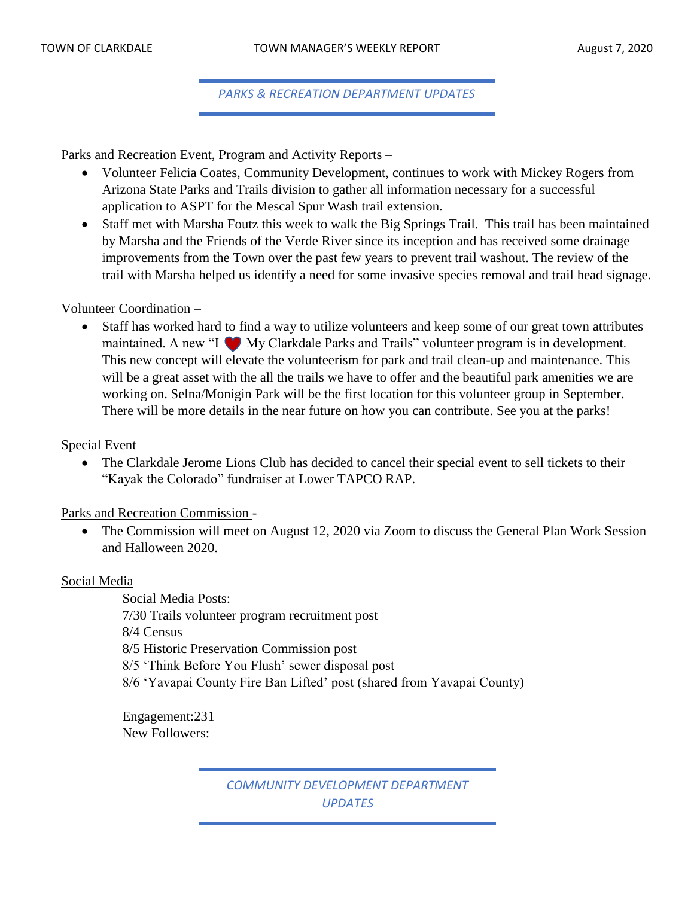*PARKS & RECREATION DEPARTMENT UPDATES*

Parks and Recreation Event, Program and Activity Reports –

- Volunteer Felicia Coates, Community Development, continues to work with Mickey Rogers from Arizona State Parks and Trails division to gather all information necessary for a successful application to ASPT for the Mescal Spur Wash trail extension.
- Staff met with Marsha Foutz this week to walk the Big Springs Trail. This trail has been maintained by Marsha and the Friends of the Verde River since its inception and has received some drainage improvements from the Town over the past few years to prevent trail washout. The review of the trail with Marsha helped us identify a need for some invasive species removal and trail head signage.

#### Volunteer Coordination –

• Staff has worked hard to find a way to utilize volunteers and keep some of our great town attributes maintained. A new "I My Clarkdale Parks and Trails" volunteer program is in development. This new concept will elevate the volunteerism for park and trail clean-up and maintenance. This will be a great asset with the all the trails we have to offer and the beautiful park amenities we are working on. Selna/Monigin Park will be the first location for this volunteer group in September. There will be more details in the near future on how you can contribute. See you at the parks!

Special Event –

• The Clarkdale Jerome Lions Club has decided to cancel their special event to sell tickets to their "Kayak the Colorado" fundraiser at Lower TAPCO RAP.

Parks and Recreation Commission -

• The Commission will meet on August 12, 2020 via Zoom to discuss the General Plan Work Session and Halloween 2020.

Social Media –

Social Media Posts: 7/30 Trails volunteer program recruitment post 8/4 Census 8/5 Historic Preservation Commission post 8/5 'Think Before You Flush' sewer disposal post 8/6 'Yavapai County Fire Ban Lifted' post (shared from Yavapai County)

Engagement:231 New Followers:

> *COMMUNITY DEVELOPMENT DEPARTMENT UPDATES*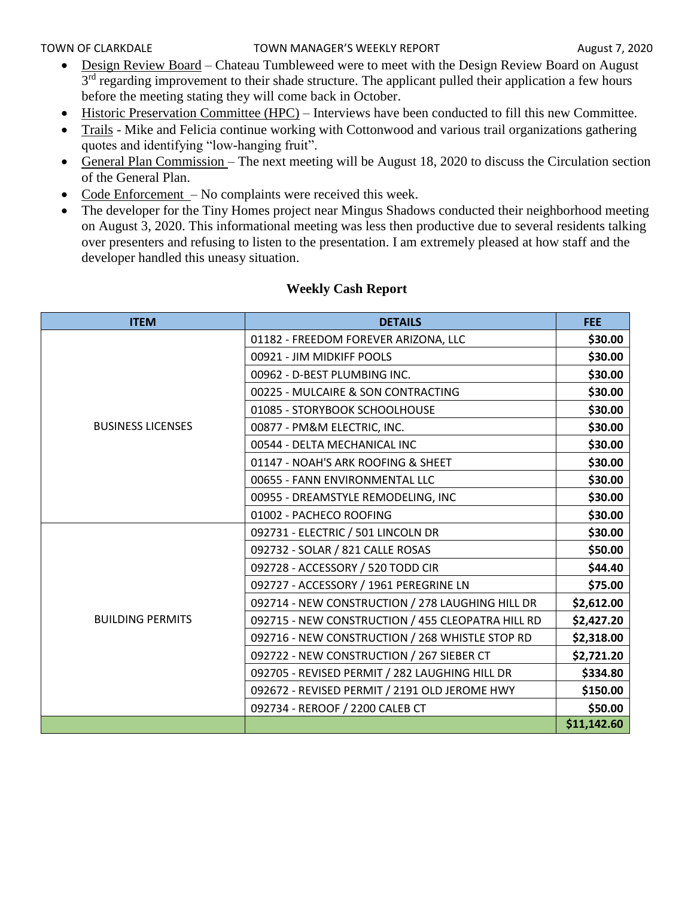- Design Review Board Chateau Tumbleweed were to meet with the Design Review Board on August 3<sup>rd</sup> regarding improvement to their shade structure. The applicant pulled their application a few hours before the meeting stating they will come back in October.
- Historic Preservation Committee (HPC) Interviews have been conducted to fill this new Committee.
- Trails Mike and Felicia continue working with Cottonwood and various trail organizations gathering quotes and identifying "low-hanging fruit".
- General Plan Commission The next meeting will be August 18, 2020 to discuss the Circulation section of the General Plan.
- Code Enforcement No complaints were received this week.
- The developer for the Tiny Homes project near Mingus Shadows conducted their neighborhood meeting on August 3, 2020. This informational meeting was less then productive due to several residents talking over presenters and refusing to listen to the presentation. I am extremely pleased at how staff and the developer handled this uneasy situation.

| <b>ITEM</b>              | <b>DETAILS</b>                                    | <b>FEE</b>  |
|--------------------------|---------------------------------------------------|-------------|
|                          | 01182 - FREEDOM FOREVER ARIZONA, LLC              | \$30.00     |
|                          | 00921 - JIM MIDKIFF POOLS                         | \$30.00     |
|                          | 00962 - D-BEST PLUMBING INC.                      | \$30.00     |
|                          | 00225 - MULCAIRE & SON CONTRACTING                | \$30.00     |
|                          | 01085 - STORYBOOK SCHOOLHOUSE                     | \$30.00     |
| <b>BUSINESS LICENSES</b> | 00877 - PM&M ELECTRIC, INC.                       | \$30.00     |
|                          | 00544 - DELTA MECHANICAL INC                      | \$30.00     |
|                          | 01147 - NOAH'S ARK ROOFING & SHEET                | \$30.00     |
|                          | 00655 - FANN ENVIRONMENTAL LLC                    | \$30.00     |
|                          | 00955 - DREAMSTYLE REMODELING, INC                | \$30.00     |
|                          | 01002 - PACHECO ROOFING                           | \$30.00     |
|                          | 092731 - ELECTRIC / 501 LINCOLN DR                | \$30.00     |
|                          | 092732 - SOLAR / 821 CALLE ROSAS                  | \$50.00     |
|                          | 092728 - ACCESSORY / 520 TODD CIR                 | \$44.40     |
|                          | 092727 - ACCESSORY / 1961 PEREGRINE LN            | \$75.00     |
|                          | 092714 - NEW CONSTRUCTION / 278 LAUGHING HILL DR  | \$2,612.00  |
| <b>BUILDING PERMITS</b>  | 092715 - NEW CONSTRUCTION / 455 CLEOPATRA HILL RD | \$2,427.20  |
|                          | 092716 - NEW CONSTRUCTION / 268 WHISTLE STOP RD   | \$2,318.00  |
|                          | 092722 - NEW CONSTRUCTION / 267 SIEBER CT         | \$2,721.20  |
|                          | 092705 - REVISED PERMIT / 282 LAUGHING HILL DR    | \$334.80    |
|                          | 092672 - REVISED PERMIT / 2191 OLD JEROME HWY     | \$150.00    |
|                          | 092734 - REROOF / 2200 CALEB CT                   | \$50.00     |
|                          |                                                   | \$11,142.60 |

#### **Weekly Cash Report**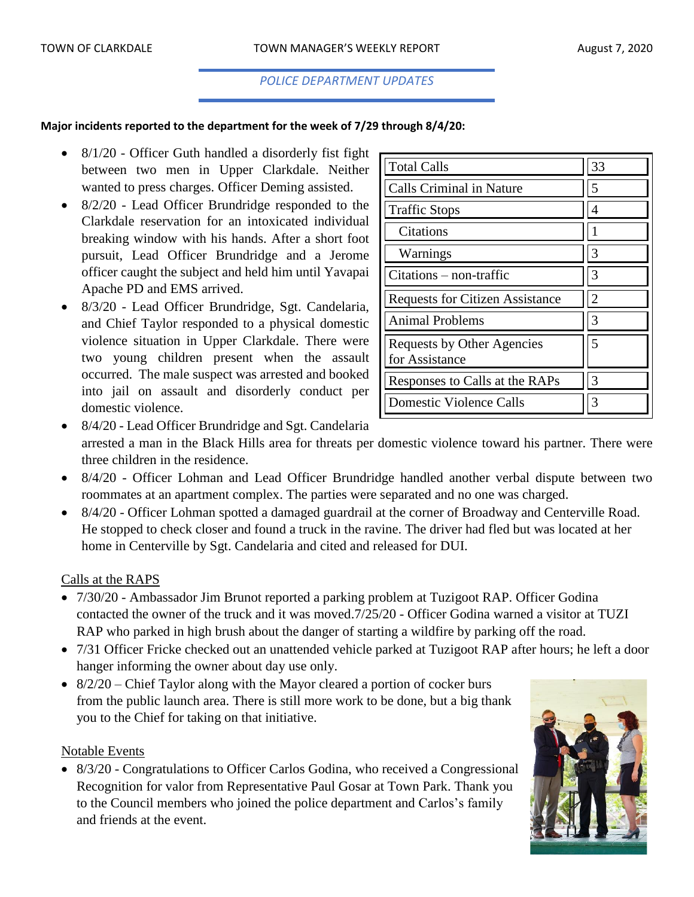#### *POLICE DEPARTMENT UPDATES*

#### **Major incidents reported to the department for the week of 7/29 through 8/4/20:**

- 8/1/20 Officer Guth handled a disorderly fist fight between two men in Upper Clarkdale. Neither wanted to press charges. Officer Deming assisted.
- 8/2/20 Lead Officer Brundridge responded to the Clarkdale reservation for an intoxicated individual breaking window with his hands. After a short foot pursuit, Lead Officer Brundridge and a Jerome officer caught the subject and held him until Yavapai Apache PD and EMS arrived.
- 8/3/20 Lead Officer Brundridge, Sgt. Candelaria, and Chief Taylor responded to a physical domestic violence situation in Upper Clarkdale. There were two young children present when the assault occurred. The male suspect was arrested and booked into jail on assault and disorderly conduct per domestic violence.

| <b>Total Calls</b>                           | 33 |
|----------------------------------------------|----|
| <b>Calls Criminal in Nature</b>              | 5  |
| <b>Traffic Stops</b>                         | 4  |
| Citations                                    |    |
| Warnings                                     | 3  |
| $Citations - non-traffic$                    | 3  |
| <b>Requests for Citizen Assistance</b>       | 2  |
| <b>Animal Problems</b>                       | 3  |
| Requests by Other Agencies<br>for Assistance | 5  |
| Responses to Calls at the RAPs               | 3  |
| Domestic Violence Calls                      | 3  |

- 8/4/20 Lead Officer Brundridge and Sgt. Candelaria arrested a man in the Black Hills area for threats per domestic violence toward his partner. There were three children in the residence.
- 8/4/20 Officer Lohman and Lead Officer Brundridge handled another verbal dispute between two roommates at an apartment complex. The parties were separated and no one was charged.
- 8/4/20 Officer Lohman spotted a damaged guardrail at the corner of Broadway and Centerville Road. He stopped to check closer and found a truck in the ravine. The driver had fled but was located at her home in Centerville by Sgt. Candelaria and cited and released for DUI.

#### Calls at the RAPS

- 7/30/20 Ambassador Jim Brunot reported a parking problem at Tuzigoot RAP. Officer Godina contacted the owner of the truck and it was moved.7/25/20 - Officer Godina warned a visitor at TUZI RAP who parked in high brush about the danger of starting a wildfire by parking off the road.
- 7/31 Officer Fricke checked out an unattended vehicle parked at Tuzigoot RAP after hours; he left a door hanger informing the owner about day use only.
- 8/2/20 Chief Taylor along with the Mayor cleared a portion of cocker burs from the public launch area. There is still more work to be done, but a big thank you to the Chief for taking on that initiative.

#### Notable Events

• 8/3/20 - Congratulations to Officer Carlos Godina, who received a Congressional Recognition for valor from Representative Paul Gosar at Town Park. Thank you to the Council members who joined the police department and Carlos's family and friends at the event.